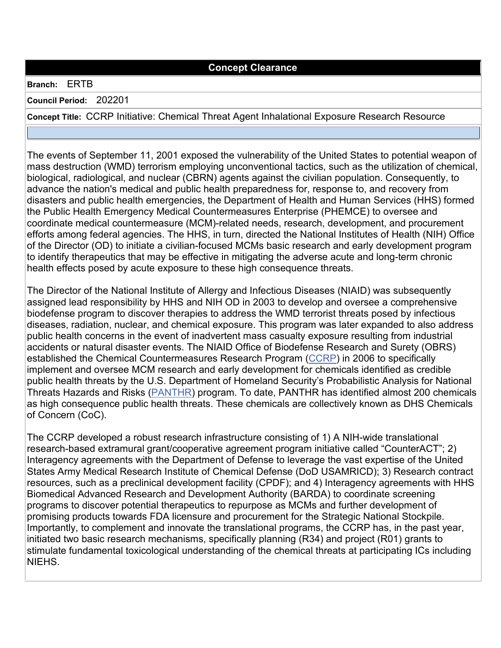## **Concept Clearance**

## **Branch:** ERTB

**Council Period:** 202201

**Concept Title:** CCRP Initiative: Chemical Threat Agent Inhalational Exposure Research Resource

The events of September 11, 2001 exposed the vulnerability of the United States to potential weapon of mass destruction (WMD) terrorism employing unconventional tactics, such as the utilization of chemical, biological, radiological, and nuclear (CBRN) agents against the civilian population. Consequently, to advance the nation's medical and public health preparedness for, response to, and recovery from disasters and public health emergencies, the Department of Health and Human Services (HHS) formed the Public Health Emergency Medical Countermeasures Enterprise (PHEMCE) to oversee and coordinate medical countermeasure (MCM)-related needs, research, development, and procurement efforts among federal agencies. The HHS, in turn, directed the National Institutes of Health (NIH) Office of the Director (OD) to initiate a civilian-focused MCMs basic research and early development program to identify therapeutics that may be effective in mitigating the adverse acute and long-term chronic health effects posed by acute exposure to these high consequence threats.

The Director of the National Institute of Allergy and Infectious Diseases (NIAID) was subsequently assigned lead responsibility by HHS and NIH OD in 2003 to develop and oversee a comprehensive biodefense program to discover therapies to address the WMD terrorist threats posed by infectious diseases, radiation, nuclear, and chemical exposure. This program was later expanded to also address public health concerns in the event of inadvertent mass casualty exposure resulting from industrial accidents or natural disaster events. The NIAID Office of Biodefense Research and Surety (OBRS) established the Chemical Countermeasures Research Program [\(CCRP\)](https://www.niaid.nih.gov/research/chemical-countermeasures-program) in 2006 to specifically implement and oversee MCM research and early development for chemicals identified as credible public health threats by the U.S. Department of Homeland Security's Probabilistic Analysis for National Threats Hazards and Risks [\(PANTHR\)](https://www.dhs.gov/science-and-technology/panthr) program. To date, PANTHR has identified almost 200 chemicals as high consequence public health threats. These chemicals are collectively known as DHS Chemicals of Concern (CoC).

The CCRP developed a robust research infrastructure consisting of 1) A NIH-wide translational research-based extramural grant/cooperative agreement program initiative called "CounterACT"; 2) Interagency agreements with the Department of Defense to leverage the vast expertise of the United States Army Medical Research Institute of Chemical Defense (DoD USAMRICD); 3) Research contract resources, such as a preclinical development facility (CPDF); and 4) Interagency agreements with HHS Biomedical Advanced Research and Development Authority (BARDA) to coordinate screening programs to discover potential therapeutics to repurpose as MCMs and further development of promising products towards FDA licensure and procurement for the Strategic National Stockpile. Importantly, to complement and innovate the translational programs, the CCRP has, in the past year, initiated two basic research mechanisms, specifically planning (R34) and project (R01) grants to stimulate fundamental toxicological understanding of the chemical threats at participating ICs including NIEHS.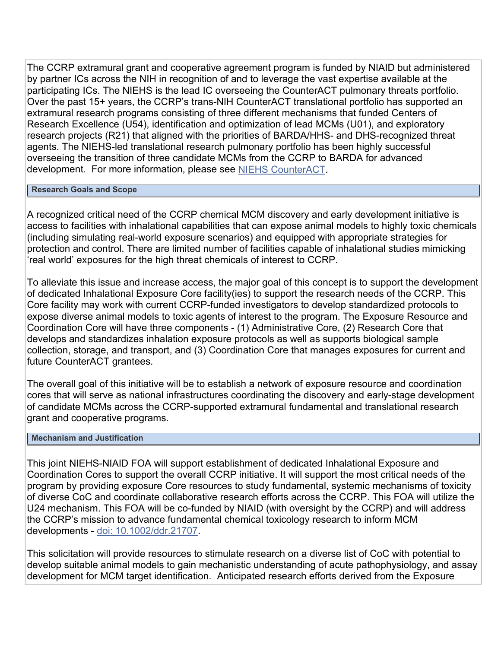The CCRP extramural grant and cooperative agreement program is funded by NIAID but administered by partner ICs across the NIH in recognition of and to leverage the vast expertise available at the participating ICs. The NIEHS is the lead IC overseeing the CounterACT pulmonary threats portfolio. Over the past 15+ years, the CCRP's trans-NIH CounterACT translational portfolio has supported an extramural research programs consisting of three different mechanisms that funded Centers of Research Excellence (U54), identification and optimization of lead MCMs (U01), and exploratory research projects (R21) that aligned with the priorities of BARDA/HHS- and DHS-recognized threat agents. The NIEHS-led translational research pulmonary portfolio has been highly successful overseeing the transition of three candidate MCMs from the CCRP to BARDA for advanced development. For more information, please see [NIEHS CounterACT.](https://www.niehs.nih.gov/research/supported/centers/counteract/index.cfm)

## **Research Goals and Scope**

A recognized critical need of the CCRP chemical MCM discovery and early development initiative is access to facilities with inhalational capabilities that can expose animal models to highly toxic chemicals (including simulating real-world exposure scenarios) and equipped with appropriate strategies for protection and control. There are limited number of facilities capable of inhalational studies mimicking 'real world' exposures for the high threat chemicals of interest to CCRP.

To alleviate this issue and increase access, the major goal of this concept is to support the development of dedicated Inhalational Exposure Core facility(ies) to support the research needs of the CCRP. This Core facility may work with current CCRP-funded investigators to develop standardized protocols to expose diverse animal models to toxic agents of interest to the program. The Exposure Resource and Coordination Core will have three components - (1) Administrative Core, (2) Research Core that develops and standardizes inhalation exposure protocols as well as supports biological sample collection, storage, and transport, and (3) Coordination Core that manages exposures for current and future CounterACT grantees.

The overall goal of this initiative will be to establish a network of exposure resource and coordination cores that will serve as national infrastructures coordinating the discovery and early-stage development of candidate MCMs across the CCRP-supported extramural fundamental and translational research grant and cooperative programs.

## **Mechanism and Justification**

This joint NIEHS-NIAID FOA will support establishment of dedicated Inhalational Exposure and Coordination Cores to support the overall CCRP initiative. It will support the most critical needs of the program by providing exposure Core resources to study fundamental, systemic mechanisms of toxicity of diverse CoC and coordinate collaborative research efforts across the CCRP. This FOA will utilize the U24 mechanism. This FOA will be co-funded by NIAID (with oversight by the CCRP) and will address the CCRP's mission to advance fundamental chemical toxicology research to inform MCM developments - [doi: 10.1002/ddr.21707.](https://pubmed.ncbi.nlm.nih.gov/32573018/)

This solicitation will provide resources to stimulate research on a diverse list of CoC with potential to develop suitable animal models to gain mechanistic understanding of acute pathophysiology, and assay development for MCM target identification. Anticipated research efforts derived from the Exposure